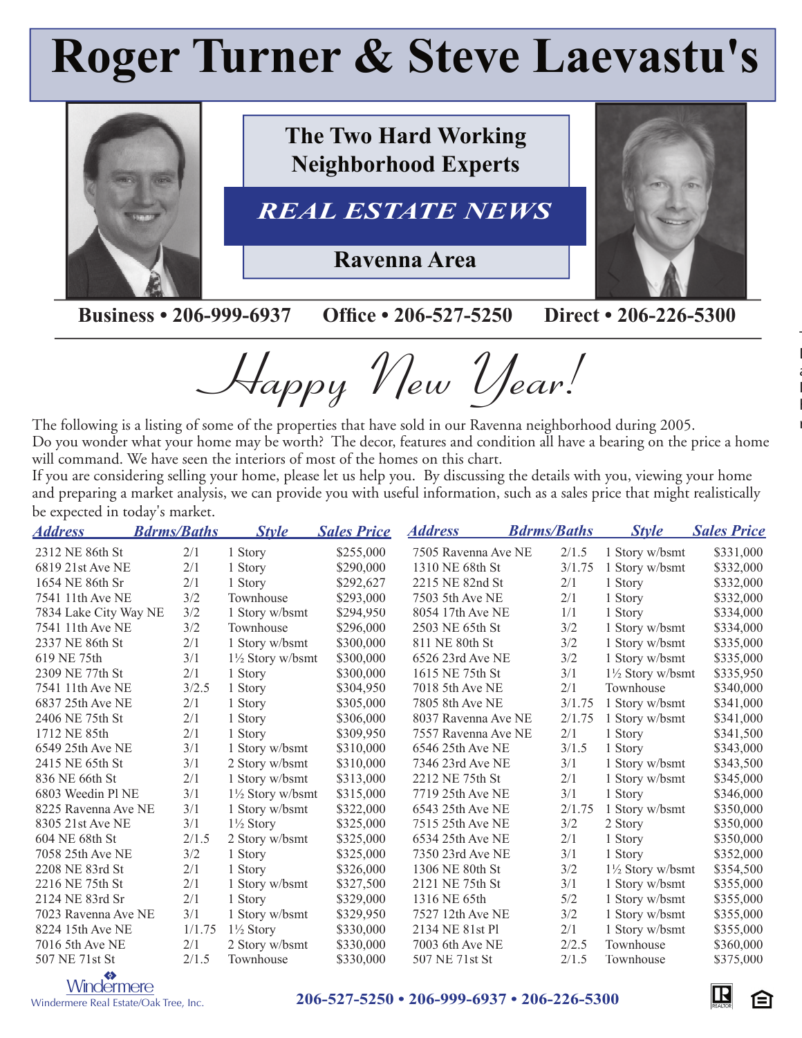## **Roger Turner & Steve Laevastu's**



**The Two Hard Working Neighborhood Experts**

## *REAL ESTATE NEWS*

**Ravenna Area**

**Business • 206-999-6937 Office • 206-527-5250 Direct • 206-226-5300** 

Happy New Year!

The following is a listing of some of the properties that have sold in our Ravenna neighborhood during 2005. Do you wonder what your home may be worth? The decor, features and condition all have a bearing on the price a home will command. We have seen the interiors of most of the homes on this chart.

If you are considering selling your home, please let us help you. By discussing the details with you, viewing your home and preparing a market analysis, we can provide you with useful information, such as a sales price that might realistically be expected in today's market.

| <u>Address</u>        | <b>Bdrms/Baths</b> | <b>Style</b>                | <b>Sales Price</b> | <b>Address</b>      | <b>Bdrms/Baths</b> | <b>Style</b>                | <b>Sales Price</b> |
|-----------------------|--------------------|-----------------------------|--------------------|---------------------|--------------------|-----------------------------|--------------------|
| 2312 NE 86th St       | 2/1                | 1 Story                     | \$255,000          | 7505 Ravenna Ave NE | 2/1.5              | 1 Story w/bsmt              | \$331,000          |
| 6819 21st Ave NE      | 2/1                | 1 Story                     | \$290,000          | 1310 NE 68th St     | 3/1.75             | 1 Story w/bsmt              | \$332,000          |
| 1654 NE 86th Sr       | 2/1                | 1 Story                     | \$292,627          | 2215 NE 82nd St     | 2/1                | 1 Story                     | \$332,000          |
| 7541 11th Ave NE      | 3/2                | Townhouse                   | \$293,000          | 7503 5th Ave NE     | 2/1                | 1 Story                     | \$332,000          |
| 7834 Lake City Way NE | 3/2                | 1 Story w/bsmt              | \$294,950          | 8054 17th Ave NE    | 1/1                | 1 Story                     | \$334,000          |
| 7541 11th Ave NE      | 3/2                | Townhouse                   | \$296,000          | 2503 NE 65th St     | 3/2                | 1 Story w/bsmt              | \$334,000          |
| 2337 NE 86th St       | 2/1                | 1 Story w/bsmt              | \$300,000          | 811 NE 80th St      | 3/2                | 1 Story w/bsmt              | \$335,000          |
| 619 NE 75th           | 3/1                | $1\frac{1}{2}$ Story w/bsmt | \$300,000          | 6526 23rd Ave NE    | 3/2                | 1 Story w/bsmt              | \$335,000          |
| 2309 NE 77th St       | 2/1                | 1 Story                     | \$300,000          | 1615 NE 75th St     | 3/1                | $1\frac{1}{2}$ Story w/bsmt | \$335,950          |
| 7541 11th Ave NE      | 3/2.5              | 1 Story                     | \$304,950          | 7018 5th Ave NE     | 2/1                | Townhouse                   | \$340,000          |
| 6837 25th Ave NE      | 2/1                | 1 Story                     | \$305,000          | 7805 8th Ave NE     | 3/1.75             | 1 Story w/bsmt              | \$341,000          |
| 2406 NE 75th St       | 2/1                | 1 Story                     | \$306,000          | 8037 Ravenna Ave NE | 2/1.75             | 1 Story w/bsmt              | \$341,000          |
| 1712 NE 85th          | 2/1                | 1 Story                     | \$309,950          | 7557 Ravenna Ave NE | 2/1                | 1 Story                     | \$341,500          |
| 6549 25th Ave NE      | 3/1                | 1 Story w/bsmt              | \$310,000          | 6546 25th Ave NE    | 3/1.5              | 1 Story                     | \$343,000          |
| 2415 NE 65th St       | 3/1                | 2 Story w/bsmt              | \$310,000          | 7346 23rd Ave NE    | 3/1                | 1 Story w/bsmt              | \$343,500          |
| 836 NE 66th St        | 2/1                | 1 Story w/bsmt              | \$313,000          | 2212 NE 75th St     | 2/1                | 1 Story w/bsmt              | \$345,000          |
| 6803 Weedin Pl NE     | 3/1                | $1\frac{1}{2}$ Story w/bsmt | \$315,000          | 7719 25th Ave NE    | 3/1                | 1 Story                     | \$346,000          |
| 8225 Ravenna Ave NE   | 3/1                | 1 Story w/bsmt              | \$322,000          | 6543 25th Ave NE    | 2/1.75             | 1 Story w/bsmt              | \$350,000          |
| 8305 21st Ave NE      | 3/1                | $1\frac{1}{2}$ Story        | \$325,000          | 7515 25th Ave NE    | 3/2                | 2 Story                     | \$350,000          |
| 604 NE 68th St        | 2/1.5              | 2 Story w/bsmt              | \$325,000          | 6534 25th Ave NE    | 2/1                | 1 Story                     | \$350,000          |
| 7058 25th Ave NE      | 3/2                | 1 Story                     | \$325,000          | 7350 23rd Ave NE    | 3/1                | 1 Story                     | \$352,000          |
| 2208 NE 83rd St       | 2/1                | 1 Story                     | \$326,000          | 1306 NE 80th St     | 3/2                | $1\frac{1}{2}$ Story w/bsmt | \$354,500          |
| 2216 NE 75th St       | 2/1                | 1 Story w/bsmt              | \$327,500          | 2121 NE 75th St     | 3/1                | 1 Story w/bsmt              | \$355,000          |
| 2124 NE 83rd Sr       | 2/1                | 1 Story                     | \$329,000          | 1316 NE 65th        | 5/2                | 1 Story w/bsmt              | \$355,000          |
| 7023 Ravenna Ave NE   | 3/1                | 1 Story w/bsmt              | \$329,950          | 7527 12th Ave NE    | 3/2                | 1 Story w/bsmt              | \$355,000          |
| 8224 15th Ave NE      | 1/1.75             | $1\frac{1}{2}$ Story        | \$330,000          | 2134 NE 81st Pl     | 2/1                | 1 Story w/bsmt              | \$355,000          |
| 7016 5th Ave NE       | 2/1                | 2 Story w/bsmt              | \$330,000          | 7003 6th Ave NE     | 2/2.5              | Townhouse                   | \$360,000          |
| 507 NE 71st St        | 2/1.5              | Townhouse                   | \$330,000          | 507 NE 71st St      | 2/1.5              | Townhouse                   | \$375,000          |



## <sup>S</sup> **206-527-5250 • 206-999-6937 • 206-226-5300**



The following is a listing of some of the properties that have sold in our Maple Leaf neighborhood during 2003. Do you wonder what your home may be worth? The decor, features and condition all have a bearing on the price

If you are considering selling your home, please let us help you. By discussing the details with you, viewing your home and preparing a market and provide you with useful information, and as a sales price that might useful in

.<br> $\ddot{\phantom{a}}$ 

realistically be expected in today's market.